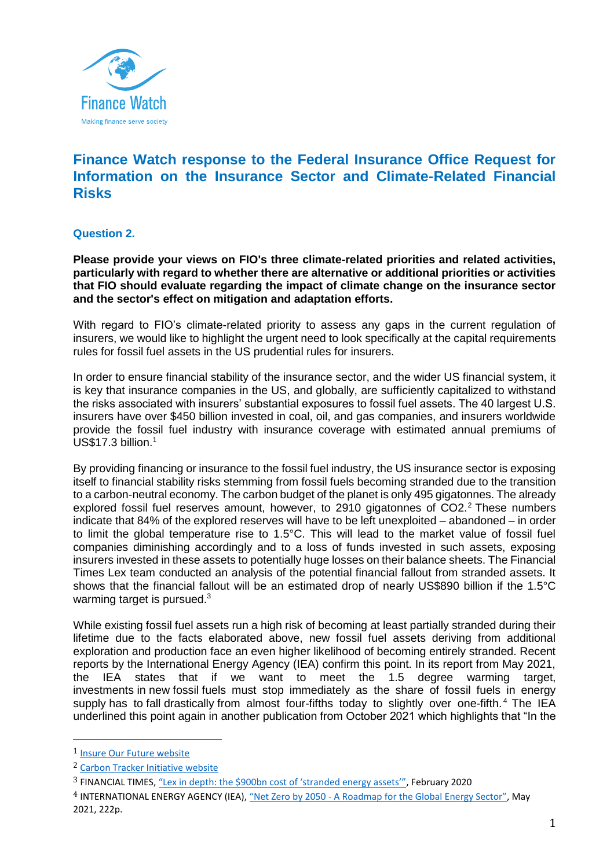

# **Finance Watch response to the Federal Insurance Office Request for Information on the Insurance Sector and Climate-Related Financial Risks**

## **Question 2.**

**Please provide your views on FIO's three climate-related priorities and related activities, particularly with regard to whether there are alternative or additional priorities or activities that FIO should evaluate regarding the impact of climate change on the insurance sector and the sector's effect on mitigation and adaptation efforts.**

With regard to FIO's climate-related priority to assess any gaps in the current regulation of insurers, we would like to highlight the urgent need to look specifically at the capital requirements rules for fossil fuel assets in the US prudential rules for insurers.

In order to ensure financial stability of the insurance sector, and the wider US financial system, it is key that insurance companies in the US, and globally, are sufficiently capitalized to withstand the risks associated with insurers' substantial exposures to fossil fuel assets. The 40 largest U.S. insurers have over \$450 billion invested in coal, oil, and gas companies, and insurers worldwide provide the fossil fuel industry with insurance coverage with estimated annual premiums of US\$17.3 billion.<sup>1</sup>

By providing financing or insurance to the fossil fuel industry, the US insurance sector is exposing itself to financial stability risks stemming from fossil fuels becoming stranded due to the transition to a carbon-neutral economy. The carbon budget of the planet is only 495 gigatonnes. The already explored fossil fuel reserves amount, however, to 2910 gigatonnes of CO2.<sup>2</sup> These numbers indicate that 84% of the explored reserves will have to be left unexploited – abandoned – in order to limit the global temperature rise to 1.5°C. This will lead to the market value of fossil fuel companies diminishing accordingly and to a loss of funds invested in such assets, exposing insurers invested in these assets to potentially huge losses on their balance sheets. The Financial Times Lex team conducted an analysis of the potential financial fallout from stranded assets. It shows that the financial fallout will be an estimated drop of nearly US\$890 billion if the 1.5°C warming target is pursued.<sup>3</sup>

While existing fossil fuel assets run a high risk of becoming at least partially stranded during their lifetime due to the facts elaborated above, new fossil fuel assets deriving from additional exploration and production face an even higher likelihood of becoming entirely stranded. Recent reports by the International Energy Agency (IEA) confirm this point. In its report from May 2021, the IEA states that if we want to meet the 1.5 degree warming target, investments in new fossil fuels must stop immediately as the share of fossil fuels in energy supply has to fall drastically from almost four-fifths today to slightly over one-fifth.<sup>4</sup> The IEA underlined this point again in another publication from October 2021 which highlights that "In the

 $\overline{a}$ 

<sup>1</sup> [Insure Our Future website](https://insureourfuture.co/fossil-fuels-insurance/)

<sup>2</sup> [Carbon Tracker Initiative website](https://carbontracker.org/resources/terms-list/#carbon-budgets)

<sup>3</sup> FINANCIAL TIMES, ["Lex in depth: the \\$900bn cost of 'stranded energy assets'"](https://www.ft.com/content/95efca74-4299-11ea-a43a-c4b328d9061c), February 2020

<sup>4</sup> INTERNATIONAL ENERGY AGENCY (IEA), "Net Zero by 2050 - [A Roadmap for the Global Energy Sector"](https://iea.blob.core.windows.net/assets/0716bb9a-6138-4918-8023-cb24caa47794/NetZeroby2050-ARoadmapfortheGlobalEnergySector.pdf), May 2021, 222p.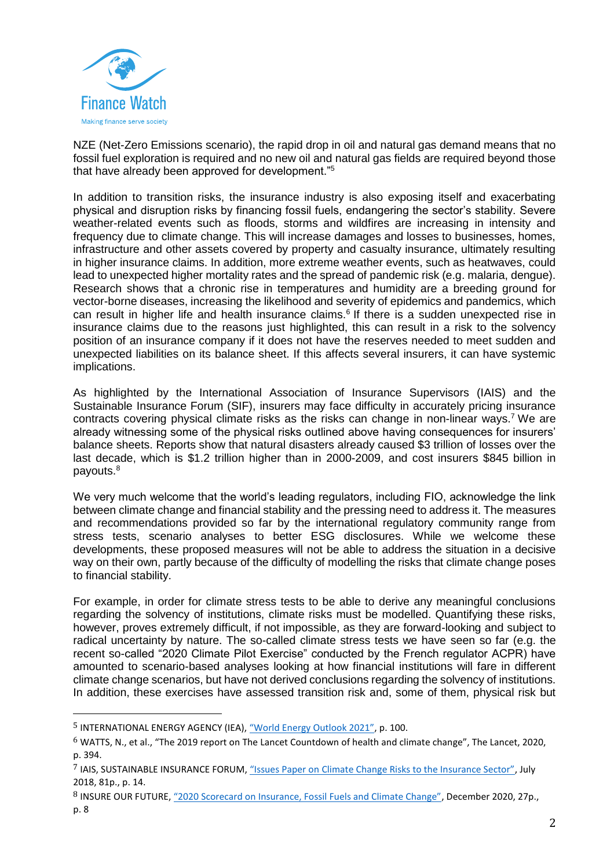

NZE (Net-Zero Emissions scenario), the rapid drop in oil and natural gas demand means that no fossil fuel exploration is required and no new oil and natural gas fields are required beyond those that have already been approved for development."<sup>5</sup>

In addition to transition risks, the insurance industry is also exposing itself and exacerbating physical and disruption risks by financing fossil fuels, endangering the sector's stability. Severe weather-related events such as floods, storms and wildfires are increasing in intensity and frequency due to climate change. This will increase damages and losses to businesses, homes, infrastructure and other assets covered by property and casualty insurance, ultimately resulting in higher insurance claims. In addition, more extreme weather events, such as heatwaves, could lead to unexpected higher mortality rates and the spread of pandemic risk (e.g. malaria, dengue). Research shows that a chronic rise in temperatures and humidity are a breeding ground for vector-borne diseases, increasing the likelihood and severity of epidemics and pandemics, which can result in higher life and health insurance claims.<sup>6</sup> If there is a sudden unexpected rise in insurance claims due to the reasons just highlighted, this can result in a risk to the solvency position of an insurance company if it does not have the reserves needed to meet sudden and unexpected liabilities on its balance sheet. If this affects several insurers, it can have systemic implications.

As highlighted by the International Association of Insurance Supervisors (IAIS) and the Sustainable Insurance Forum (SIF), insurers may face difficulty in accurately pricing insurance contracts covering physical climate risks as the risks can change in non-linear ways.<sup>7</sup> We are already witnessing some of the physical risks outlined above having consequences for insurers' balance sheets. Reports show that natural disasters already caused \$3 trillion of losses over the last decade, which is \$1.2 trillion higher than in 2000-2009, and cost insurers \$845 billion in payouts.<sup>8</sup>

We very much welcome that the world's leading regulators, including FIO, acknowledge the link between climate change and financial stability and the pressing need to address it. The measures and recommendations provided so far by the international regulatory community range from stress tests, scenario analyses to better ESG disclosures. While we welcome these developments, these proposed measures will not be able to address the situation in a decisive way on their own, partly because of the difficulty of modelling the risks that climate change poses to financial stability.

For example, in order for climate stress tests to be able to derive any meaningful conclusions regarding the solvency of institutions, climate risks must be modelled. Quantifying these risks, however, proves extremely difficult, if not impossible, as they are forward-looking and subject to radical uncertainty by nature. The so-called climate stress tests we have seen so far (e.g. the recent so-called "2020 Climate Pilot Exercise" conducted by the French regulator ACPR) have amounted to scenario-based analyses looking at how financial institutions will fare in different climate change scenarios, but have not derived conclusions regarding the solvency of institutions. In addition, these exercises have assessed transition risk and, some of them, physical risk but

 $\overline{a}$ 

<sup>&</sup>lt;sup>5</sup> INTERNATIONAL ENERGY AGENCY (IEA), ["World Energy Outlook 2021"](https://www.iea.org/reports/world-energy-outlook-2021), p. 100.

<sup>6</sup> WATTS, N., et al., "The 2019 report on The Lancet Countdown of health and climate change", The Lancet, 2020, p. 394.

<sup>7</sup> IAIS, SUSTAINABLE INSURANCE FORUM, ["Issues Paper on Climate Change Risks to the Insurance Sector"](https://www.insurancejournal.com/research/app/uploads/2018/08/IAIS_and_SIF_Issues_Paper_on_Climate_Change_Risks_to_the_Insurance_Sector_-1.pdf), July 2018, 81p., p. 14.

<sup>8</sup> INSURE OUR FUTURE, ["2020 Scorecard on Insurance, Fossil Fuels and Climate Change"](https://insurance-scorecard.com/), December 2020, 27p., p. 8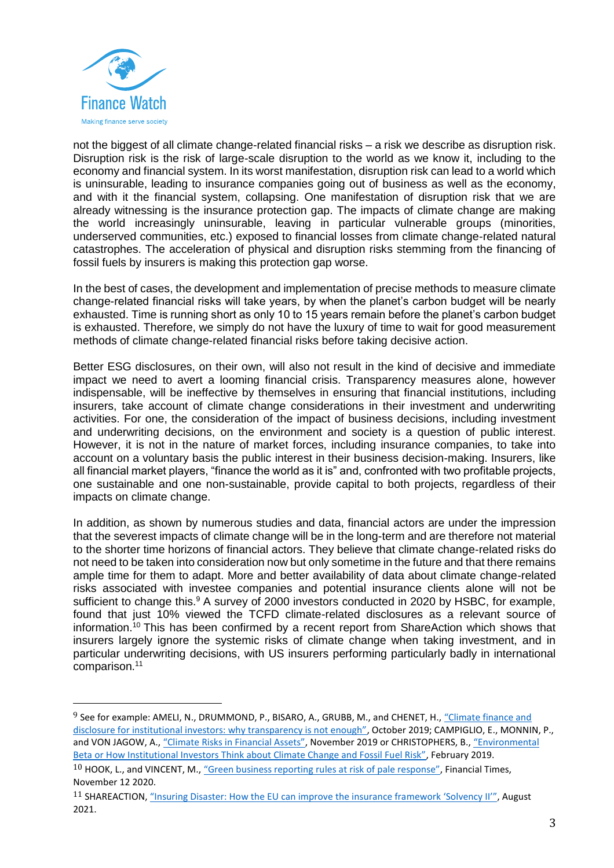

 $\overline{a}$ 

not the biggest of all climate change-related financial risks – a risk we describe as disruption risk. Disruption risk is the risk of large-scale disruption to the world as we know it, including to the economy and financial system. In its worst manifestation, disruption risk can lead to a world which is uninsurable, leading to insurance companies going out of business as well as the economy, and with it the financial system, collapsing. One manifestation of disruption risk that we are already witnessing is the insurance protection gap. The impacts of climate change are making the world increasingly uninsurable, leaving in particular vulnerable groups (minorities, underserved communities, etc.) exposed to financial losses from climate change-related natural catastrophes. The acceleration of physical and disruption risks stemming from the financing of fossil fuels by insurers is making this protection gap worse.

In the best of cases, the development and implementation of precise methods to measure climate change-related financial risks will take years, by when the planet's carbon budget will be nearly exhausted. Time is running short as only 10 to 15 years remain before the planet's carbon budget is exhausted. Therefore, we simply do not have the luxury of time to wait for good measurement methods of climate change-related financial risks before taking decisive action.

Better ESG disclosures, on their own, will also not result in the kind of decisive and immediate impact we need to avert a looming financial crisis. Transparency measures alone, however indispensable, will be ineffective by themselves in ensuring that financial institutions, including insurers, take account of climate change considerations in their investment and underwriting activities. For one, the consideration of the impact of business decisions, including investment and underwriting decisions, on the environment and society is a question of public interest. However, it is not in the nature of market forces, including insurance companies, to take into account on a voluntary basis the public interest in their business decision-making. Insurers, like all financial market players, "finance the world as it is" and, confronted with two profitable projects, one sustainable and one non-sustainable, provide capital to both projects, regardless of their impacts on climate change.

In addition, as shown by numerous studies and data, financial actors are under the impression that the severest impacts of climate change will be in the long-term and are therefore not material to the shorter time horizons of financial actors. They believe that climate change-related risks do not need to be taken into consideration now but only sometime in the future and that there remains ample time for them to adapt. More and better availability of data about climate change-related risks associated with investee companies and potential insurance clients alone will not be sufficient to change this.<sup>9</sup> A survey of 2000 investors conducted in 2020 by HSBC, for example, found that just 10% viewed the TCFD climate-related disclosures as a relevant source of information.<sup>10</sup> This has been confirmed by a recent report from ShareAction which shows that insurers largely ignore the systemic risks of climate change when taking investment, and in particular underwriting decisions, with US insurers performing particularly badly in international comparison.<sup>11</sup>

<sup>&</sup>lt;sup>9</sup> See for example: AMELI, N., DRUMMOND, P., BISARO, A., GRUBB, M., and CHENET, H., "Climate finance and [disclosure for institutional investors: why transparency is not enough"](https://link.springer.com/article/10.1007/s10584-019-02542-2), October 2019; CAMPIGLIO, E., MONNIN, P., and VON JAGOW, A., ["Climate Risks in Financial Assets"](https://www.cepweb.org/wp-content/uploads/2019/11/CEP-DN-Climate-Risks-in-Financial-Assets.pdf), November 2019 or CHRISTOPHERS, B., "Environmental [Beta or How Institutional Investors Think about Climate Change and Fossil Fuel Risk"](https://www.tandfonline.com/doi/full/10.1080/24694452.2018.1489213), February 2019.

 $10$  HOOK, L., and VINCENT, M., ["Green business reporting rules at risk of pale response"](https://www.ft.com/content/ad01f2c9-9eb0-4db6-9898-220c688d16c2), Financial Times, November 12 2020.

<sup>11</sup> SHAREACTION, ["Insuring Disaster: How the EU can improve the insurance framework 'Solvency II'"](https://api.shareaction.org/resources/reports/Insuring-Disaster-A-briefing-for-policymakers.pdf), August 2021.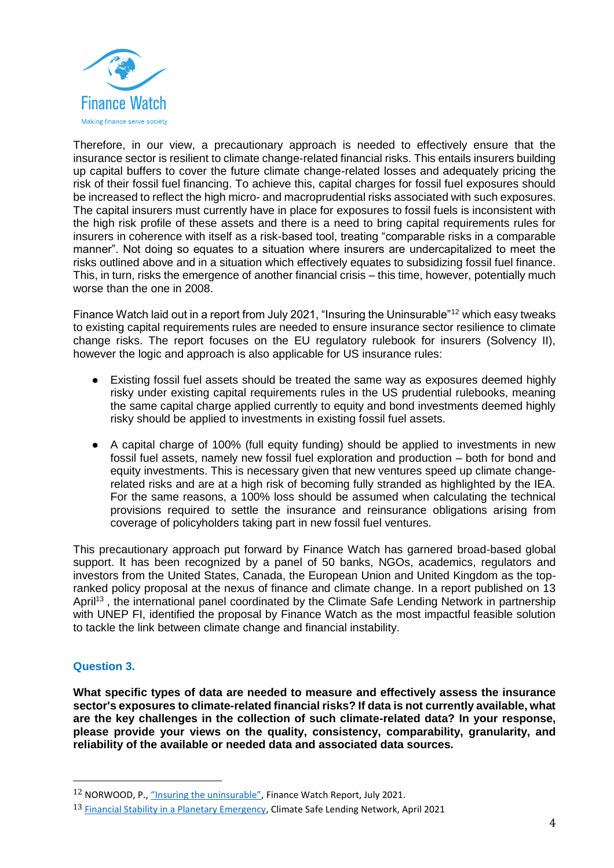

Therefore, in our view, a precautionary approach is needed to effectively ensure that the insurance sector is resilient to climate change-related financial risks. This entails insurers building up capital buffers to cover the future climate change-related losses and adequately pricing the risk of their fossil fuel financing. To achieve this, capital charges for fossil fuel exposures should be increased to reflect the high micro- and macroprudential risks associated with such exposures. The capital insurers must currently have in place for exposures to fossil fuels is inconsistent with the high risk profile of these assets and there is a need to bring capital requirements rules for insurers in coherence with itself as a risk-based tool, treating "comparable risks in a comparable manner". Not doing so equates to a situation where insurers are undercapitalized to meet the risks outlined above and in a situation which effectively equates to subsidizing fossil fuel finance. This, in turn, risks the emergence of another financial crisis – this time, however, potentially much worse than the one in 2008.

Finance Watch laid out in a report from July 2021, "Insuring the Uninsurable"<sup>12</sup> which easy tweaks to existing capital requirements rules are needed to ensure insurance sector resilience to climate change risks. The report focuses on the EU regulatory rulebook for insurers (Solvency II), however the logic and approach is also applicable for US insurance rules:

- Existing fossil fuel assets should be treated the same way as exposures deemed highly risky under existing capital requirements rules in the US prudential rulebooks, meaning the same capital charge applied currently to equity and bond investments deemed highly risky should be applied to investments in existing fossil fuel assets.
- A capital charge of 100% (full equity funding) should be applied to investments in new fossil fuel assets, namely new fossil fuel exploration and production – both for bond and equity investments. This is necessary given that new ventures speed up climate changerelated risks and are at a high risk of becoming fully stranded as highlighted by the IEA. For the same reasons, a 100% loss should be assumed when calculating the technical provisions required to settle the insurance and reinsurance obligations arising from coverage of policyholders taking part in new fossil fuel ventures.

This precautionary approach put forward by Finance Watch has garnered broad-based global support. It has been recognized by a panel of 50 banks, NGOs, academics, regulators and investors from the United States, Canada, the European Union and United Kingdom as the topranked policy proposal at the nexus of finance and climate change. In a report published on 13 April<sup>13</sup>, the international panel coordinated by the Climate Safe Lending Network in partnership with UNEP FI, identified the proposal by Finance Watch as the most impactful feasible solution to tackle the link between climate change and financial instability.

## **Question 3.**

 $\overline{a}$ 

**What specific types of data are needed to measure and effectively assess the insurance sector's exposures to climate-related financial risks? If data is not currently available, what are the key challenges in the collection of such climate-related data? In your response, please provide your views on the quality, consistency, comparability, granularity, and reliability of the available or needed data and associated data sources.**

<sup>12</sup> NORWOOD, P., ["Insuring the uninsurable"](https://www.finance-watch.org/wp-content/uploads/2021/07/finance-watch-report-insuring-the-uninsurable-july-2021-2.pdf), Finance Watch Report, July 2021.

<sup>13</sup> [Financial Stability in a Planetary Emergency,](https://www.climatesafelending.org/financial-stability-in-a-planetary-emergency) Climate Safe Lending Network, April 2021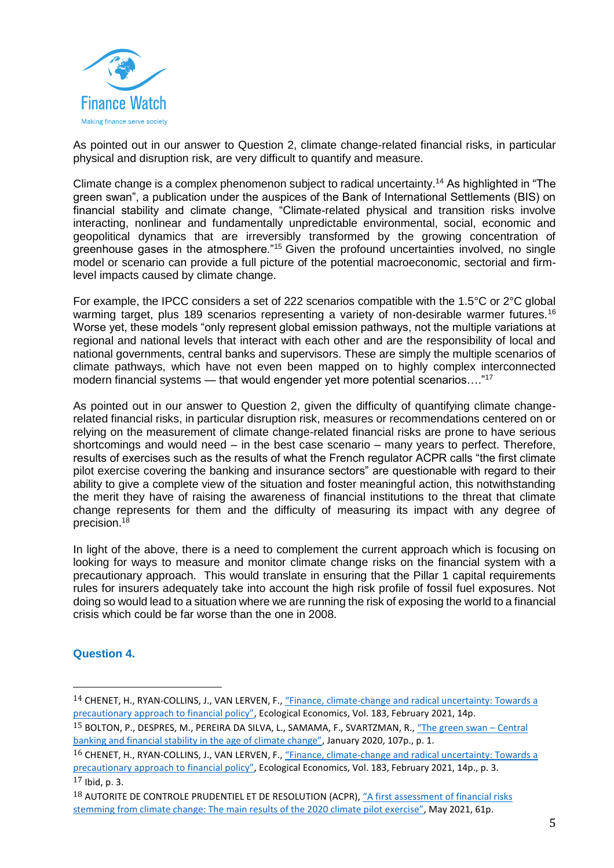

As pointed out in our answer to Question 2, climate change-related financial risks, in particular physical and disruption risk, are very difficult to quantify and measure.

Climate change is a complex phenomenon subject to radical uncertainty.<sup>14</sup> As highlighted in "The green swan", a publication under the auspices of the Bank of International Settlements (BIS) on financial stability and climate change, "Climate-related physical and transition risks involve interacting, nonlinear and fundamentally unpredictable environmental, social, economic and geopolitical dynamics that are irreversibly transformed by the growing concentration of greenhouse gases in the atmosphere."<sup>15</sup> Given the profound uncertainties involved, no single model or scenario can provide a full picture of the potential macroeconomic, sectorial and firmlevel impacts caused by climate change.

For example, the IPCC considers a set of 222 scenarios compatible with the 1.5°C or 2°C global warming target, plus 189 scenarios representing a variety of non-desirable warmer futures.<sup>16</sup> Worse yet, these models "only represent global emission pathways, not the multiple variations at regional and national levels that interact with each other and are the responsibility of local and national governments, central banks and supervisors. These are simply the multiple scenarios of climate pathways, which have not even been mapped on to highly complex interconnected modern financial systems — that would engender yet more potential scenarios...."<sup>17</sup>

As pointed out in our answer to Question 2, given the difficulty of quantifying climate changerelated financial risks, in particular disruption risk, measures or recommendations centered on or relying on the measurement of climate change-related financial risks are prone to have serious shortcomings and would need – in the best case scenario – many years to perfect. Therefore, results of exercises such as the results of what the French regulator ACPR calls "the first climate pilot exercise covering the banking and insurance sectors" are questionable with regard to their ability to give a complete view of the situation and foster meaningful action, this notwithstanding the merit they have of raising the awareness of financial institutions to the threat that climate change represents for them and the difficulty of measuring its impact with any degree of precision.<sup>18</sup>

In light of the above, there is a need to complement the current approach which is focusing on looking for ways to measure and monitor climate change risks on the financial system with a precautionary approach. This would translate in ensuring that the Pillar 1 capital requirements rules for insurers adequately take into account the high risk profile of fossil fuel exposures. Not doing so would lead to a situation where we are running the risk of exposing the world to a financial crisis which could be far worse than the one in 2008.

#### **Question 4.**

 $\overline{a}$ 

<sup>14</sup> CHENET, H., RYAN-COLLINS, J., VAN LERVEN, F., "Finance, climate[-change and radical uncertainty: Towards a](https://www.sciencedirect.com/science/article/pii/S092180092100015X)  [precautionary approach to financial policy"](https://www.sciencedirect.com/science/article/pii/S092180092100015X), Ecological Economics, Vol. 183, February 2021, 14p.

<sup>15</sup> BOLTON, P., DESPRES, M., PEREIRA DA SILVA, L., SAMAMA, F., SVARTZMAN, R., ["The green swan –](https://www.bis.org/publ/othp31.pdf) Central [banking and financial stability in the age of climate change"](https://www.bis.org/publ/othp31.pdf), January 2020, 107p., p. 1.

<sup>16</sup> CHENET, H., RYAN-COLLINS, J., VAN LERVEN, F., "Finance, climate[-change and radical uncertainty: Towards a](https://www.sciencedirect.com/science/article/pii/S092180092100015X)  [precautionary approach to financial policy"](https://www.sciencedirect.com/science/article/pii/S092180092100015X), Ecological Economics, Vol. 183, February 2021, 14p., p. 3.  $17$  Ibid, p. 3.

<sup>18</sup> AUTORITE DE CONTROLE PRUDENTIEL ET DE RESOLUTION (ACPR), "A first assessment of financial risks [stemming from climate change: The main r](https://acpr.banque-france.fr/search-es?term=20210504+as+pilot+exercise+climat+change)esults of the 2020 climate pilot exercise", May 2021, 61p.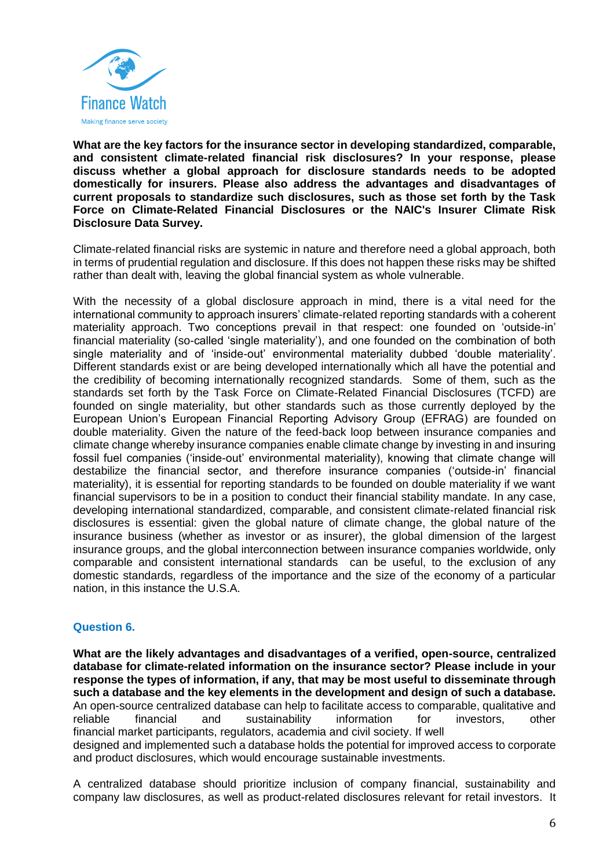

**What are the key factors for the insurance sector in developing standardized, comparable, and consistent climate-related financial risk disclosures? In your response, please discuss whether a global approach for disclosure standards needs to be adopted domestically for insurers. Please also address the advantages and disadvantages of current proposals to standardize such disclosures, such as those set forth by the Task Force on Climate-Related Financial Disclosures or the NAIC's Insurer Climate Risk Disclosure Data Survey.**

Climate-related financial risks are systemic in nature and therefore need a global approach, both in terms of prudential regulation and disclosure. If this does not happen these risks may be shifted rather than dealt with, leaving the global financial system as whole vulnerable.

With the necessity of a global disclosure approach in mind, there is a vital need for the international community to approach insurers' climate-related reporting standards with a coherent materiality approach. Two conceptions prevail in that respect: one founded on 'outside-in' financial materiality (so-called 'single materiality'), and one founded on the combination of both single materiality and of 'inside-out' environmental materiality dubbed 'double materiality'. Different standards exist or are being developed internationally which all have the potential and the credibility of becoming internationally recognized standards. Some of them, such as the standards set forth by the Task Force on Climate-Related Financial Disclosures (TCFD) are founded on single materiality, but other standards such as those currently deployed by the European Union's European Financial Reporting Advisory Group (EFRAG) are founded on double materiality. Given the nature of the feed-back loop between insurance companies and climate change whereby insurance companies enable climate change by investing in and insuring fossil fuel companies ('inside-out' environmental materiality), knowing that climate change will destabilize the financial sector, and therefore insurance companies ('outside-in' financial materiality), it is essential for reporting standards to be founded on double materiality if we want financial supervisors to be in a position to conduct their financial stability mandate. In any case, developing international standardized, comparable, and consistent climate-related financial risk disclosures is essential: given the global nature of climate change, the global nature of the insurance business (whether as investor or as insurer), the global dimension of the largest insurance groups, and the global interconnection between insurance companies worldwide, only comparable and consistent international standards can be useful, to the exclusion of any domestic standards, regardless of the importance and the size of the economy of a particular nation, in this instance the U.S.A.

#### **Question 6.**

**What are the likely advantages and disadvantages of a verified, open-source, centralized database for climate-related information on the insurance sector? Please include in your response the types of information, if any, that may be most useful to disseminate through such a database and the key elements in the development and design of such a database.** An open-source centralized database can help to facilitate access to comparable, qualitative and reliable financial and sustainability information for investors, other financial market participants, regulators, academia and civil society. If well designed and implemented such a database holds the potential for improved access to corporate and product disclosures, which would encourage sustainable investments.

A centralized database should prioritize inclusion of company financial, sustainability and company law disclosures, as well as product-related disclosures relevant for retail investors. It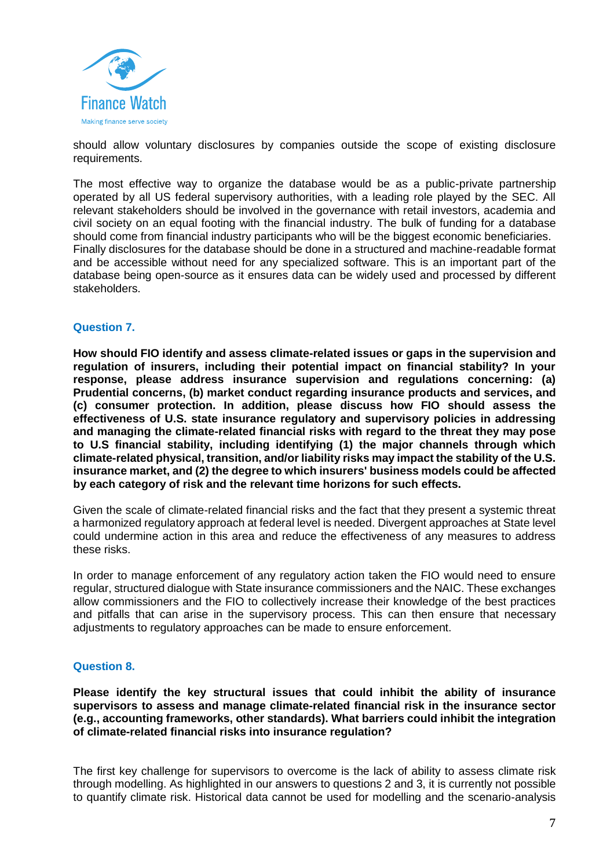

should allow voluntary disclosures by companies outside the scope of existing disclosure requirements.

The most effective way to organize the database would be as a public-private partnership operated by all US federal supervisory authorities, with a leading role played by the SEC. All relevant stakeholders should be involved in the governance with retail investors, academia and civil society on an equal footing with the financial industry. The bulk of funding for a database should come from financial industry participants who will be the biggest economic beneficiaries. Finally disclosures for the database should be done in a structured and machine-readable format and be accessible without need for any specialized software. This is an important part of the database being open-source as it ensures data can be widely used and processed by different stakeholders.

#### **Question 7.**

**How should FIO identify and assess climate-related issues or gaps in the supervision and regulation of insurers, including their potential impact on financial stability? In your response, please address insurance supervision and regulations concerning: (a) Prudential concerns, (b) market conduct regarding insurance products and services, and (c) consumer protection. In addition, please discuss how FIO should assess the effectiveness of U.S. state insurance regulatory and supervisory policies in addressing and managing the climate-related financial risks with regard to the threat they may pose to U.S financial stability, including identifying (1) the major channels through which climate-related physical, transition, and/or liability risks may impact the stability of the U.S. insurance market, and (2) the degree to which insurers' business models could be affected by each category of risk and the relevant time horizons for such effects.**

Given the scale of climate-related financial risks and the fact that they present a systemic threat a harmonized regulatory approach at federal level is needed. Divergent approaches at State level could undermine action in this area and reduce the effectiveness of any measures to address these risks.

In order to manage enforcement of any regulatory action taken the FIO would need to ensure regular, structured dialogue with State insurance commissioners and the NAIC. These exchanges allow commissioners and the FIO to collectively increase their knowledge of the best practices and pitfalls that can arise in the supervisory process. This can then ensure that necessary adjustments to regulatory approaches can be made to ensure enforcement.

#### **Question 8.**

**Please identify the key structural issues that could inhibit the ability of insurance supervisors to assess and manage climate-related financial risk in the insurance sector (e.g., accounting frameworks, other standards). What barriers could inhibit the integration of climate-related financial risks into insurance regulation?**

The first key challenge for supervisors to overcome is the lack of ability to assess climate risk through modelling. As highlighted in our answers to questions 2 and 3, it is currently not possible to quantify climate risk. Historical data cannot be used for modelling and the scenario-analysis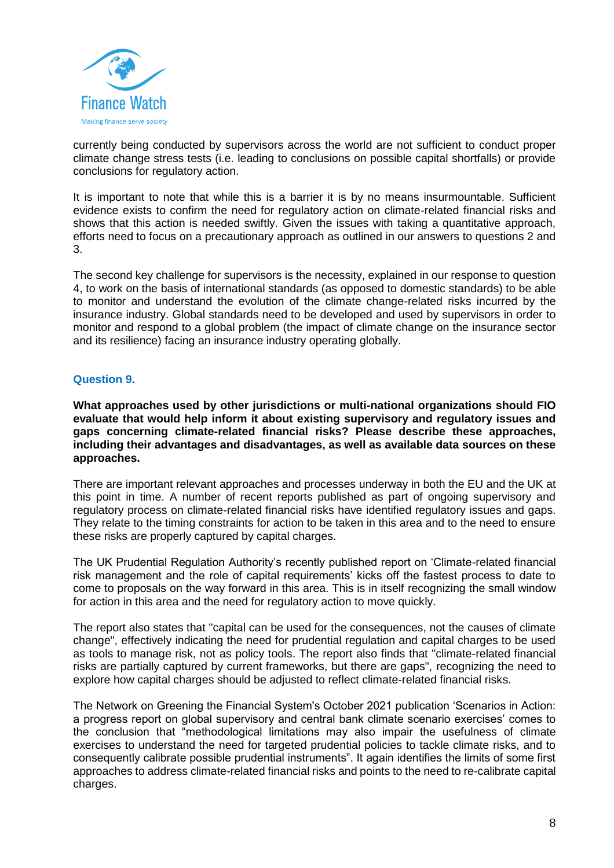

currently being conducted by supervisors across the world are not sufficient to conduct proper climate change stress tests (i.e. leading to conclusions on possible capital shortfalls) or provide conclusions for regulatory action.

It is important to note that while this is a barrier it is by no means insurmountable. Sufficient evidence exists to confirm the need for regulatory action on climate-related financial risks and shows that this action is needed swiftly. Given the issues with taking a quantitative approach, efforts need to focus on a precautionary approach as outlined in our answers to questions 2 and 3.

The second key challenge for supervisors is the necessity, explained in our response to question 4, to work on the basis of international standards (as opposed to domestic standards) to be able to monitor and understand the evolution of the climate change-related risks incurred by the insurance industry. Global standards need to be developed and used by supervisors in order to monitor and respond to a global problem (the impact of climate change on the insurance sector and its resilience) facing an insurance industry operating globally.

### **Question 9.**

**What approaches used by other jurisdictions or multi-national organizations should FIO evaluate that would help inform it about existing supervisory and regulatory issues and gaps concerning climate-related financial risks? Please describe these approaches, including their advantages and disadvantages, as well as available data sources on these approaches.**

There are important relevant approaches and processes underway in both the EU and the UK at this point in time. A number of recent reports published as part of ongoing supervisory and regulatory process on climate-related financial risks have identified regulatory issues and gaps. They relate to the timing constraints for action to be taken in this area and to the need to ensure these risks are properly captured by capital charges.

The UK Prudential Regulation Authority's recently published report on 'Climate-related financial risk management and the role of capital requirements' kicks off the fastest process to date to come to proposals on the way forward in this area. This is in itself recognizing the small window for action in this area and the need for regulatory action to move quickly.

The report also states that "capital can be used for the consequences, not the causes of climate change", effectively indicating the need for prudential regulation and capital charges to be used as tools to manage risk, not as policy tools. The report also finds that "climate-related financial risks are partially captured by current frameworks, but there are gaps", recognizing the need to explore how capital charges should be adjusted to reflect climate-related financial risks.

The Network on Greening the Financial System's October 2021 publication 'Scenarios in Action: a progress report on global supervisory and central bank climate scenario exercises' comes to the conclusion that "methodological limitations may also impair the usefulness of climate exercises to understand the need for targeted prudential policies to tackle climate risks, and to consequently calibrate possible prudential instruments". It again identifies the limits of some first approaches to address climate-related financial risks and points to the need to re-calibrate capital charges.